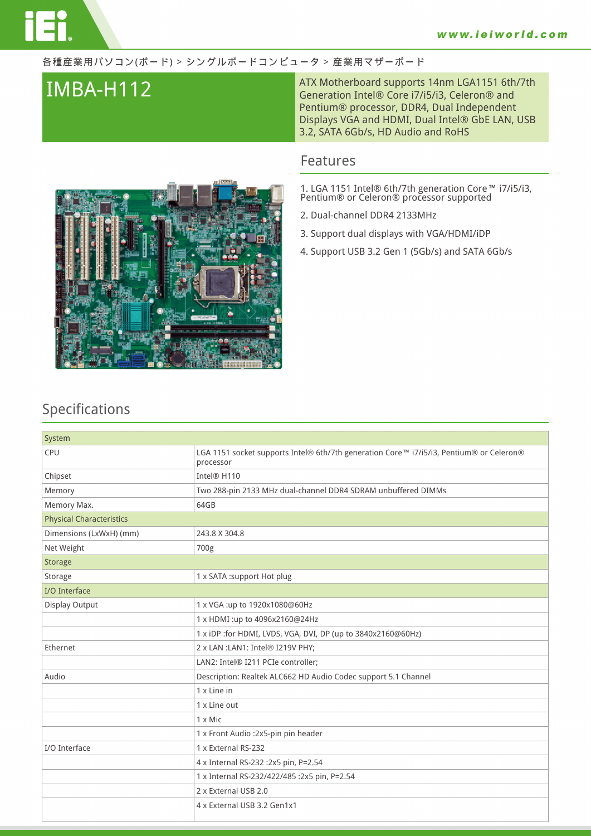### 各種産業用パソコン(ボード) > シングルボードコンピュータ > 産業用マザーボード

**IMBA-H112** ATX Motherboard supports 14nm LGA1151 6th/7th Generation Intel® Core i7/i5/i3, Celeron® and Pentium® processor, DDR4, Dual Independent Displays VGA and HDMI, Dual Intel® GbE LAN, USB 3.2, SATA 6Gb/s, HD Audio and RoHS

## **Features**

**1. LGA 1151 Intel® 6th/7th generation Core™ i7/i5/i3, Pentium® or Celeron® processor supported**

- **2. Dual-channel DDR4 2133MHz**
- **3. Support dual displays with VGA/HDMI/iDP**
- **4. Support USB 3.2 Gen 1 (5Gb/s) and SATA 6Gb/s**



## **Specifications**

| System                          |                                                                                                      |
|---------------------------------|------------------------------------------------------------------------------------------------------|
| CPU                             | LGA 1151 socket supports Intel® 6th/7th generation Core™ i7/i5/i3, Pentium® or Celeron®<br>processor |
| Chipset                         | Intel® H110                                                                                          |
| Memory                          | Two 288-pin 2133 MHz dual-channel DDR4 SDRAM unbuffered DIMMs                                        |
| Memory Max.                     | 64GB                                                                                                 |
| <b>Physical Characteristics</b> |                                                                                                      |
| Dimensions (LxWxH) (mm)         | 243.8 X 304.8                                                                                        |
| Net Weight                      | 700g                                                                                                 |
| <b>Storage</b>                  |                                                                                                      |
| Storage                         | 1 x SATA :support Hot plug                                                                           |
| I/O Interface                   |                                                                                                      |
| Display Output                  | 1 x VGA:up to 1920x1080@60Hz                                                                         |
|                                 | 1 x HDMI :up to 4096x2160@24Hz                                                                       |
|                                 | 1 x iDP :for HDMI, LVDS, VGA, DVI, DP (up to 3840x2160@60Hz)                                         |
| Ethernet                        | 2 x LAN : LAN1: Intel® I219V PHY;                                                                    |
|                                 | LAN2: Intel® I211 PCIe controller;                                                                   |
| Audio                           | Description: Realtek ALC662 HD Audio Codec support 5.1 Channel                                       |
|                                 | 1 x Line in                                                                                          |
|                                 | 1 x Line out                                                                                         |
|                                 | $1 \times$ Mic                                                                                       |
|                                 | 1 x Front Audio : 2x5-pin pin header                                                                 |
| I/O Interface                   | 1 x External RS-232                                                                                  |
|                                 | 4 x Internal RS-232 : 2x5 pin, P=2.54                                                                |
|                                 | 1 x Internal RS-232/422/485 :2x5 pin, P=2.54                                                         |
|                                 | 2 x External USB 2.0                                                                                 |
|                                 | 4 x External USB 3.2 Gen1x1                                                                          |